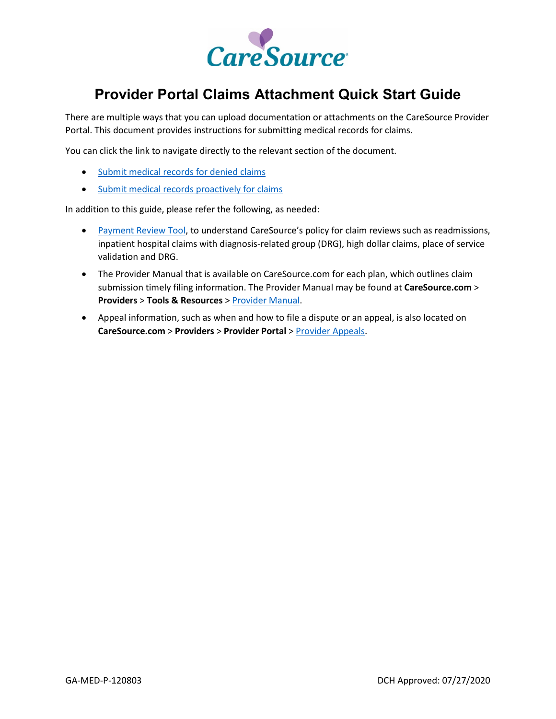

# **Provider Portal Claims Attachment Quick Start Guide**

There are multiple ways that you can upload documentation or attachments on the CareSource Provider Portal. This document provides instructions for submitting medical records for claims.

You can click the link to navigate directly to the relevant section of the document.

- [Submit medical records for denied claims](#page-1-0)
- [Submit medical records proactively for claims](#page-2-0)

In addition to this guide, please refer the following, as needed:

- [Payment Review Tool,](https://www.caresource.com/documents/oh-sp-0240-provider-payment-review-tool/) to understand CareSource's policy for claim reviews such as readmissions, inpatient hospital claims with diagnosis-related group (DRG), high dollar claims, place of service validation and DRG.
- The Provider Manual that is available on CareSource.com for each plan, which outlines claim submission timely filing information. The Provider Manual may be found at **CareSource.com** > **Providers** > **Tools & Resources** [> Provider Manual.](https://www.caresource.com/providers/tools-resources/provider-manual/)
- Appeal information, such as when and how to file a dispute or an appeal, is also located on **CareSource.com** > **Providers** > **Provider Portal** > [Provider Appeals.](https://www.caresource.com/providers/provider-portal/appeals/)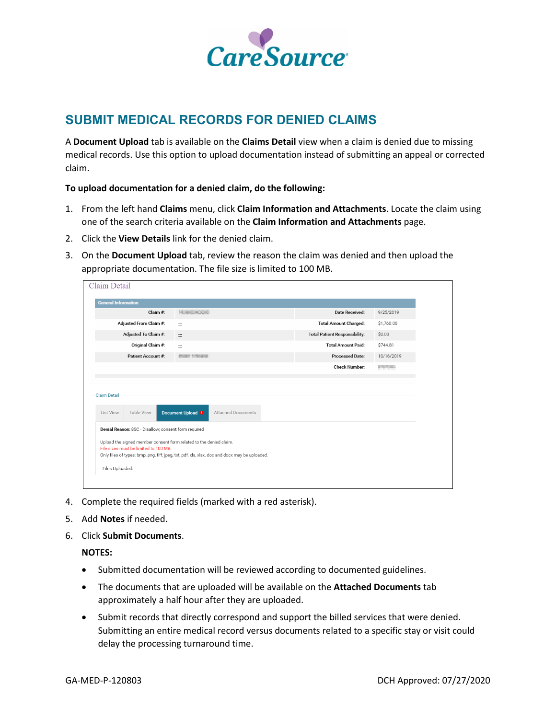

## <span id="page-1-0"></span>**SUBMIT MEDICAL RECORDS FOR DENIED CLAIMS**

A **Document Upload** tab is available on the **Claims Detail** view when a claim is denied due to missing medical records. Use this option to upload documentation instead of submitting an appeal or corrected claim.

**To upload documentation for a denied claim, do the following:**

- 1. From the left hand **Claims** menu, click **Claim Information and Attachments**. Locate the claim using one of the search criteria available on the **Claim Information and Attachments** page.
- 2. Click the **View Details** link for the denied claim.
- 3. On the **Document Upload** tab, review the reason the claim was denied and then upload the appropriate documentation. The file size is limited to 100 MB.

| Claim Detail                                                                                                |                                                                                               |                                      |                |
|-------------------------------------------------------------------------------------------------------------|-----------------------------------------------------------------------------------------------|--------------------------------------|----------------|
| <b>General Information</b>                                                                                  |                                                                                               |                                      |                |
| Claim $#$ :                                                                                                 | Homes Cold                                                                                    | Date Received:                       | 9/25/2019      |
| Adjusted From Claim #:                                                                                      | $\equiv$                                                                                      | <b>Total Amount Charged:</b>         | \$1,760.00     |
| Adjusted To Claim #:                                                                                        | $\equiv$                                                                                      | <b>Total Patient Responsibility:</b> | \$0.00         |
| Original Claim #:                                                                                           | ÷.                                                                                            | <b>Total Amount Paid:</b>            | \$744.81       |
| Patient Account #:                                                                                          | <b>PORT STEAMS</b>                                                                            | <b>Processed Date:</b>               | 10/16/2019     |
|                                                                                                             |                                                                                               | <b>Check Number:</b>                 | <b>COLLANS</b> |
|                                                                                                             |                                                                                               |                                      |                |
| Claim Detail                                                                                                |                                                                                               |                                      |                |
|                                                                                                             |                                                                                               |                                      |                |
| Table View<br>List View                                                                                     | Document Upload <sup>0</sup><br>Attached Documents                                            |                                      |                |
| Denial Reason: 8SC - Disallow; consent form required                                                        |                                                                                               |                                      |                |
|                                                                                                             |                                                                                               |                                      |                |
| Upload the signed member consent form related to the denied claim.<br>File sizes must be limited to 100 MB. |                                                                                               |                                      |                |
|                                                                                                             | Only files of types: bmp, png, tiff, jpeg, txt, pdf, xls, xlsx, doc and docx may be uploaded. |                                      |                |
| Files Uploaded:                                                                                             |                                                                                               |                                      |                |
|                                                                                                             |                                                                                               |                                      |                |

- 4. Complete the required fields (marked with a red asterisk).
- 5. Add **Notes** if needed.
- 6. Click **Submit Documents**.

#### **NOTES:**

- Submitted documentation will be reviewed according to documented guidelines.
- The documents that are uploaded will be available on the **Attached Documents** tab approximately a half hour after they are uploaded.
- Submit records that directly correspond and support the billed services that were denied. Submitting an entire medical record versus documents related to a specific stay or visit could delay the processing turnaround time.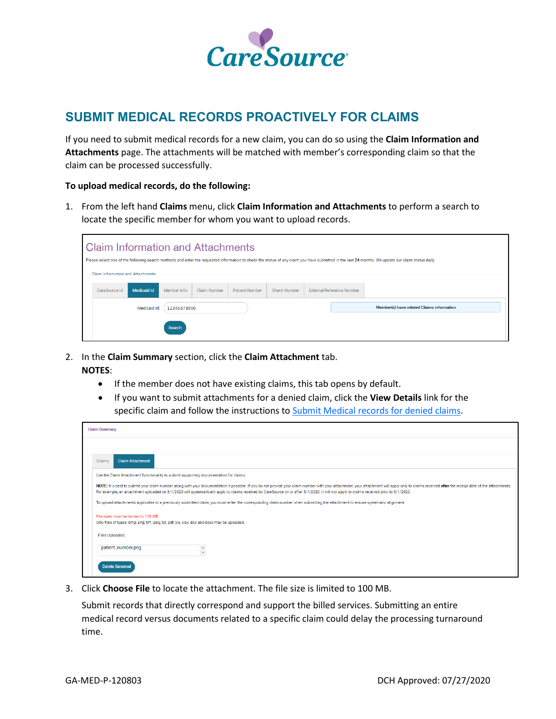

### <span id="page-2-0"></span>**SUBMIT MEDICAL RECORDS PROACTIVELY FOR CLAIMS**

If you need to submit medical records for a new claim, you can do so using the **Claim Information and Attachments** page. The attachments will be matched with member's corresponding claim so that the claim can be processed successfully.

#### **To upload medical records, do the following:**

1. From the left hand **Claims** menu, click **Claim Information and Attachments** to perform a search to locate the specific member for whom you want to upload records.

| <b>Claim Information and Attachments</b> |                    |             |              |                       |                     |                           | Please select one of the following search methods and enter the requested information to check the status of any claim you have submitted in the last 24 months. We update our claim status daily. |
|------------------------------------------|--------------------|-------------|--------------|-----------------------|---------------------|---------------------------|----------------------------------------------------------------------------------------------------------------------------------------------------------------------------------------------------|
| <b>Claim Information and Attachments</b> |                    |             |              |                       |                     |                           |                                                                                                                                                                                                    |
| CareSource Id                            | <b>Medicaid Id</b> | Member Info | Claim Number | <b>Patient Number</b> | <b>Check Number</b> | External Reference Number |                                                                                                                                                                                                    |
|                                          | Medicaid Id:       | 12345678900 |              |                       |                     |                           | Member(s) have related Claims information                                                                                                                                                          |
|                                          |                    | Search      |              |                       |                     |                           |                                                                                                                                                                                                    |

- 2. In the **Claim Summary** section, click the **Claim Attachment** tab. **NOTES**:
	- If the member does not have existing claims, this tab opens by default.
	- If you want to submit attachments for a denied claim, click the **View Details** link for the specific claim and follow the instructions to [Submit Medical records for denied claims.](#page-1-0)

| <b>Claim Summary</b>                                                                                                                                                                                                                                                                                                                                                                                                       |
|----------------------------------------------------------------------------------------------------------------------------------------------------------------------------------------------------------------------------------------------------------------------------------------------------------------------------------------------------------------------------------------------------------------------------|
|                                                                                                                                                                                                                                                                                                                                                                                                                            |
| <b>Claim Attachment</b><br>Claims                                                                                                                                                                                                                                                                                                                                                                                          |
| Use the Claim Attachment functionality to submit supporting documentation for claims.                                                                                                                                                                                                                                                                                                                                      |
| NOTE: It is best to submit your claim number along with your documentation if possible. If you do not provide your claim number with your attachment, your attachment will apply only to claims received after the receipt dat<br>For example, an attachment uploaded on 3/1/2020 will systematically apply to claims received by CareSource on or after 3/1/2020. It will not apply to claims received prior to 3/1/2020. |
| To upload attachments applicable to a previously submitted claim, you must enter the corresponding claim number when submitting the attachment to ensure systematic alignment.                                                                                                                                                                                                                                             |
| File sizes must be limited to 100 MB.<br>Only files of types: bmp, png, tiff, jpeg, txt, pdf, xls, xlsx, doc and docx may be uploaded.                                                                                                                                                                                                                                                                                     |
| Files Uploaded:                                                                                                                                                                                                                                                                                                                                                                                                            |
| patient_number.png                                                                                                                                                                                                                                                                                                                                                                                                         |
| <b>Delete Selected</b>                                                                                                                                                                                                                                                                                                                                                                                                     |

3. Click **Choose File** to locate the attachment. The file size is limited to 100 MB.

Submit records that directly correspond and support the billed services. Submitting an entire medical record versus documents related to a specific claim could delay the processing turnaround time.